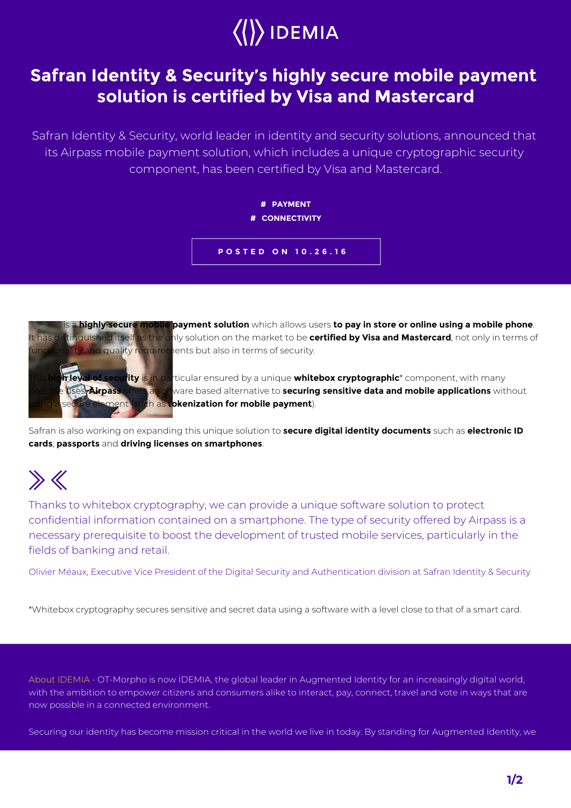

## **Safran Identity & Security's highly secure mobile payment solution is certified by Visa and Mastercard**

Safran Identity & Security, world leader in identity and security solutions, announced that its Airpass mobile payment solution, which includes a unique cryptographic security component, has been certified by Visa and Mastercard.

## **# PAYMENT # CONNECTIVITY**





**Airpass** is a **highly secure mobile payment solution** which allows users **to pay in store or online using a mobile phone**. It has distinguished itself as the only solution on the market to be **certified by Visa and Mastercard**, not only in terms of

 $\overline{\textbf{r}}$  ity is in particular ensured by a unique **whitebox cryptographic**\* component, with many ses. **Airpass offers a software based alternative to securing sensitive data and mobile applications** without n as **tokenization for mobile payment**).

Safran is also working on expanding this unique solution to **secure digital identity documents** such as **electronic ID cards**, **passports** and **driving licenses on smartphones**.

## $\gg K$

Thanks to whitebox cryptography, we can provide a unique software solution to protect confidential information contained on a smartphone. The type of security offered by Airpass is a necessary prerequisite to boost the development of trusted mobile services, particularly in the fields of banking and retail.

Olivier Méaux, Executive Vice President of the Digital Security and Authentication division at Safran Identity & Security

\*Whitebox cryptography secures sensitive and secret data using a software with a level close to that of a smart card.

About IDEMIA - OT-Morpho is now IDEMIA, the global leader in Augmented Identity for an increasingly digital world, with the ambition to empower citizens and consumers alike to interact, pay, connect, travel and vote in ways that are now possible in a connected environment.

Securing our identity has become mission critical in the world we live in today. By standing for Augmented Identity, we